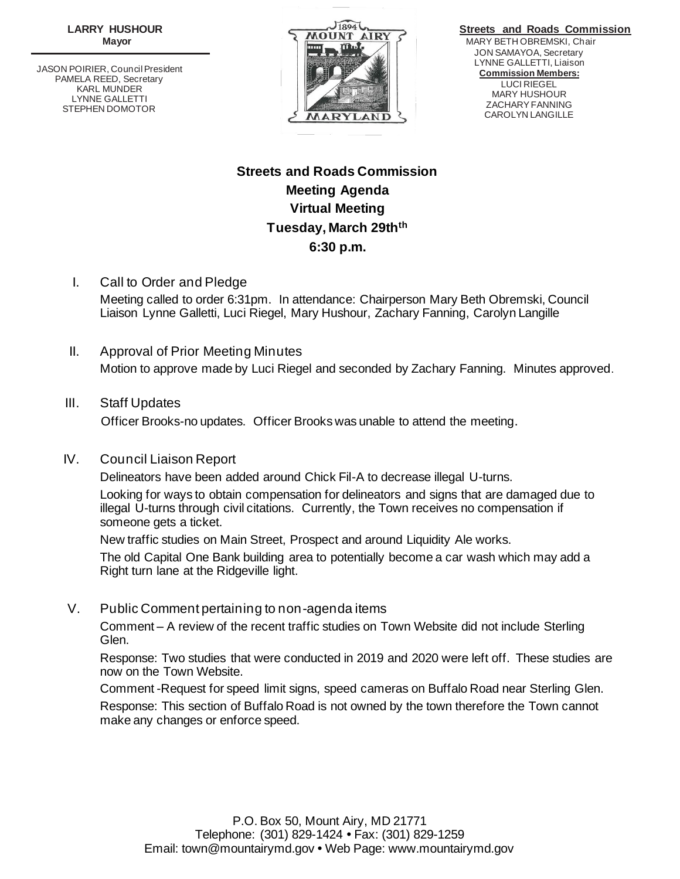**LARRY HUSHOUR Mayor**

JASON POIRIER, Council President PAMELA REED, Secretary KARL MUNDER LYNNE GALLETTI STEPHEN DOMOTOR



 **Streets and Roads Commission** MARY BETH OBREMSKI, Chair JON SAMAYOA, Secretary LYNNE GALLETTI, Liaison **Commission Members:** LUCI RIEGEL MARY HUSHOUR ZACHARY FANNING CAROLYN LANGILLE

# **Streets and Roads Commission Meeting Agenda Virtual Meeting Tuesday, March 29thth 6:30 p.m.**

- I. Call to Order and Pledge Meeting called to order 6:31pm. In attendance: Chairperson Mary Beth Obremski, Council Liaison Lynne Galletti, Luci Riegel, Mary Hushour, Zachary Fanning, Carolyn Langille
- II. Approval of Prior Meeting Minutes Motion to approve made by Luci Riegel and seconded by Zachary Fanning. Minutes approved.

# III. Staff Updates

Officer Brooks-no updates. Officer Brooks was unable to attend the meeting.

# IV. Council Liaison Report

Delineators have been added around Chick Fil-A to decrease illegal U-turns.

Looking for ways to obtain compensation for delineators and signs that are damaged due to illegal U-turns through civil citations. Currently, the Town receives no compensation if someone gets a ticket.

New traffic studies on Main Street, Prospect and around Liquidity Ale works.

The old Capital One Bank building area to potentially become a car wash which may add a Right turn lane at the Ridgeville light.

# V. Public Comment pertaining to non-agenda items

Comment – A review of the recent traffic studies on Town Website did not include Sterling Glen.

Response: Two studies that were conducted in 2019 and 2020 were left off. These studies are now on the Town Website.

Comment -Request for speed limit signs, speed cameras on Buffalo Road near Sterling Glen. Response: This section of Buffalo Road is not owned by the town therefore the Town cannot make any changes or enforce speed.